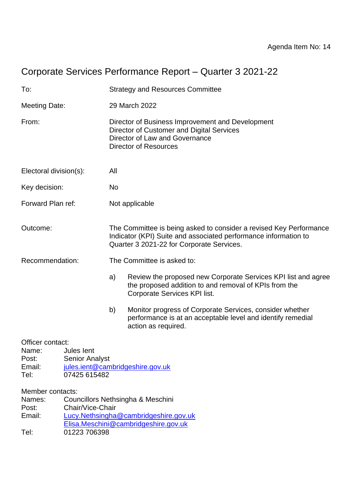# Corporate Services Performance Report – Quarter 3 2021-22

| To:<br><b>Strategy and Resources Committee</b>                                                                                                                           |                                                     |                                                                                                                                                                                    |                                                                                                                                                        |  |
|--------------------------------------------------------------------------------------------------------------------------------------------------------------------------|-----------------------------------------------------|------------------------------------------------------------------------------------------------------------------------------------------------------------------------------------|--------------------------------------------------------------------------------------------------------------------------------------------------------|--|
| <b>Meeting Date:</b>                                                                                                                                                     |                                                     | 29 March 2022                                                                                                                                                                      |                                                                                                                                                        |  |
| From:<br>Director of Business Improvement and Development<br>Director of Customer and Digital Services<br>Director of Law and Governance<br><b>Director of Resources</b> |                                                     |                                                                                                                                                                                    |                                                                                                                                                        |  |
| Electoral division(s):                                                                                                                                                   |                                                     | All                                                                                                                                                                                |                                                                                                                                                        |  |
| Key decision:                                                                                                                                                            |                                                     | <b>No</b>                                                                                                                                                                          |                                                                                                                                                        |  |
| Forward Plan ref:                                                                                                                                                        |                                                     |                                                                                                                                                                                    | Not applicable                                                                                                                                         |  |
| Outcome:                                                                                                                                                                 |                                                     | The Committee is being asked to consider a revised Key Performance<br>Indicator (KPI) Suite and associated performance information to<br>Quarter 3 2021-22 for Corporate Services. |                                                                                                                                                        |  |
| Recommendation:                                                                                                                                                          |                                                     | The Committee is asked to:                                                                                                                                                         |                                                                                                                                                        |  |
|                                                                                                                                                                          |                                                     | a)                                                                                                                                                                                 | Review the proposed new Corporate Services KPI list and agree<br>the proposed addition to and removal of KPIs from the<br>Corporate Services KPI list. |  |
|                                                                                                                                                                          |                                                     | b)                                                                                                                                                                                 | Monitor progress of Corporate Services, consider whether<br>performance is at an acceptable level and identify remedial<br>action as required.         |  |
| Officer contact:<br>Name:<br>Post:<br>Email:<br>Tel:                                                                                                                     | Jules lent<br><b>Senior Analyst</b><br>07425 615482 |                                                                                                                                                                                    | jules.ient@cambridgeshire.gov.uk                                                                                                                       |  |
| Member contacts:<br>Names:<br>Post:<br>Email:<br>Tel:                                                                                                                    | Chair/Vice-Chair<br>01223 706398                    |                                                                                                                                                                                    | Councillors Nethsingha & Meschini<br>Lucy.Nethsingha@cambridgeshire.gov.uk<br>Elisa.Meschini@cambridgeshire.gov.uk                                     |  |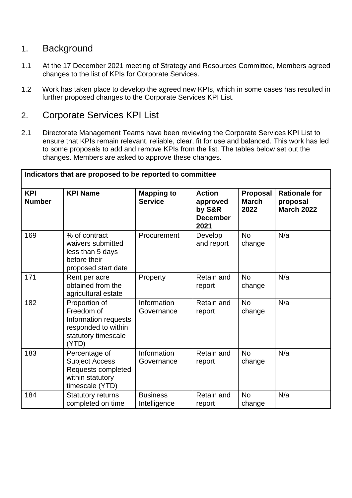### 1. Background

- 1.1 At the 17 December 2021 meeting of Strategy and Resources Committee, Members agreed changes to the list of KPIs for Corporate Services.
- 1.2 Work has taken place to develop the agreed new KPIs, which in some cases has resulted in further proposed changes to the Corporate Services KPI List.

### 2. Corporate Services KPI List

2.1 Directorate Management Teams have been reviewing the Corporate Services KPI List to ensure that KPIs remain relevant, reliable, clear, fit for use and balanced. This work has led to some proposals to add and remove KPIs from the list. The tables below set out the changes. Members are asked to approve these changes.

| Indicators that are proposed to be reported to committee |                                                                                                            |                                     |                                                                |                                  |                                                       |
|----------------------------------------------------------|------------------------------------------------------------------------------------------------------------|-------------------------------------|----------------------------------------------------------------|----------------------------------|-------------------------------------------------------|
| <b>KPI</b><br><b>Number</b>                              | <b>KPI Name</b>                                                                                            | <b>Mapping to</b><br><b>Service</b> | <b>Action</b><br>approved<br>by S&R<br><b>December</b><br>2021 | Proposal<br><b>March</b><br>2022 | <b>Rationale for</b><br>proposal<br><b>March 2022</b> |
| 169                                                      | % of contract<br>waivers submitted<br>less than 5 days<br>before their<br>proposed start date              | Procurement                         | Develop<br>and report                                          | <b>No</b><br>change              | N/a                                                   |
| 171                                                      | Rent per acre<br>obtained from the<br>agricultural estate                                                  | Property                            | Retain and<br>report                                           | <b>No</b><br>change              | N/a                                                   |
| 182                                                      | Proportion of<br>Freedom of<br>Information requests<br>responded to within<br>statutory timescale<br>(YTD) | Information<br>Governance           | <b>Retain and</b><br>report                                    | <b>No</b><br>change              | N/a                                                   |
| 183                                                      | Percentage of<br><b>Subject Access</b><br>Requests completed<br>within statutory<br>timescale (YTD)        | Information<br>Governance           | Retain and<br>report                                           | <b>No</b><br>change              | N/a                                                   |
| 184                                                      | <b>Statutory returns</b><br>completed on time                                                              | <b>Business</b><br>Intelligence     | <b>Retain and</b><br>report                                    | <b>No</b><br>change              | N/a                                                   |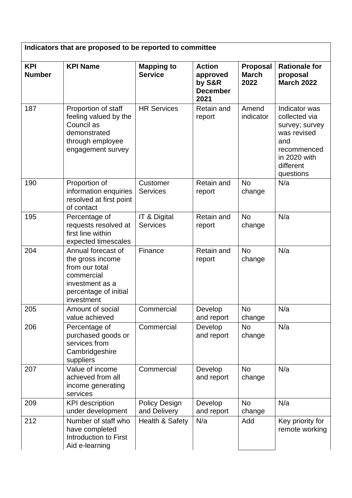| Indicators that are proposed to be reported to committee |                                                                                                                                  |                                     |                                                                |                                         |                                                                                                                                 |
|----------------------------------------------------------|----------------------------------------------------------------------------------------------------------------------------------|-------------------------------------|----------------------------------------------------------------|-----------------------------------------|---------------------------------------------------------------------------------------------------------------------------------|
| <b>KPI</b><br><b>Number</b>                              | <b>KPI Name</b>                                                                                                                  | <b>Mapping to</b><br><b>Service</b> | <b>Action</b><br>approved<br>by S&R<br><b>December</b><br>2021 | <b>Proposal</b><br><b>March</b><br>2022 | <b>Rationale for</b><br>proposal<br><b>March 2022</b>                                                                           |
| 187                                                      | Proportion of staff<br>feeling valued by the<br>Council as<br>demonstrated<br>through employee<br>engagement survey              | <b>HR Services</b>                  | <b>Retain and</b><br>report                                    | Amend<br>indicator                      | Indicator was<br>collected via<br>survey; survey<br>was revised<br>and<br>recommenced<br>in 2020 with<br>different<br>questions |
| 190                                                      | Proportion of<br>information enquiries<br>resolved at first point<br>of contact                                                  | Customer<br><b>Services</b>         | <b>Retain and</b><br>report                                    | <b>No</b><br>change                     | N/a                                                                                                                             |
| 195                                                      | Percentage of<br>requests resolved at<br>first line within<br>expected timescales                                                | IT & Digital<br><b>Services</b>     | <b>Retain and</b><br>report                                    | <b>No</b><br>change                     | N/a                                                                                                                             |
| 204                                                      | Annual forecast of<br>the gross income<br>from our total<br>commercial<br>investment as a<br>percentage of initial<br>investment | Finance                             | <b>Retain and</b><br>report                                    | <b>No</b><br>change                     | N/a                                                                                                                             |
| 205                                                      | Amount of social<br>value achieved                                                                                               | Commercial                          | Develop<br>and report                                          | <b>No</b><br>change                     | N/a                                                                                                                             |
| 206                                                      | Percentage of<br>purchased goods or<br>services from<br>Cambridgeshire<br>suppliers                                              | Commercial                          | Develop<br>and report                                          | <b>No</b><br>change                     | N/a                                                                                                                             |
| 207                                                      | Value of income<br>achieved from all<br>income generating<br>services                                                            | Commercial                          | Develop<br>and report                                          | <b>No</b><br>change                     | N/a                                                                                                                             |
| 209                                                      | <b>KPI</b> description<br>under development                                                                                      | Policy Design<br>and Delivery       | Develop<br>and report                                          | <b>No</b><br>change                     | N/a                                                                                                                             |
| 212                                                      | Number of staff who<br>have completed<br>Introduction to First<br>Aid e-learning                                                 | Health & Safety                     | N/a                                                            | Add                                     | Key priority for<br>remote working                                                                                              |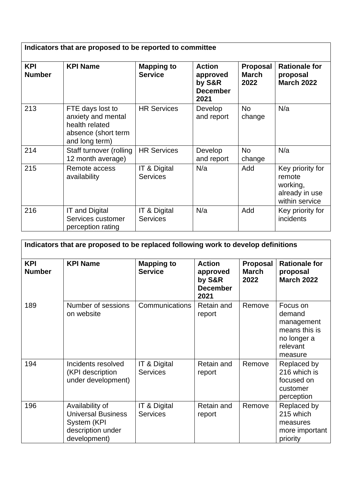| Indicators that are proposed to be reported to committee |                                                                                                   |                                     |                                                                |                                         |                                                                            |
|----------------------------------------------------------|---------------------------------------------------------------------------------------------------|-------------------------------------|----------------------------------------------------------------|-----------------------------------------|----------------------------------------------------------------------------|
| KPI<br><b>Number</b>                                     | <b>KPI Name</b>                                                                                   | <b>Mapping to</b><br><b>Service</b> | <b>Action</b><br>approved<br>by S&R<br><b>December</b><br>2021 | <b>Proposal</b><br><b>March</b><br>2022 | <b>Rationale for</b><br>proposal<br><b>March 2022</b>                      |
| 213                                                      | FTE days lost to<br>anxiety and mental<br>health related<br>absence (short term<br>and long term) | <b>HR Services</b>                  | Develop<br>and report                                          | <b>No</b><br>change                     | N/a                                                                        |
| 214                                                      | Staff turnover (rolling<br>12 month average)                                                      | <b>HR Services</b>                  | Develop<br>and report                                          | <b>No</b><br>change                     | N/a                                                                        |
| 215                                                      | Remote access<br>availability                                                                     | IT & Digital<br><b>Services</b>     | N/a                                                            | Add                                     | Key priority for<br>remote<br>working,<br>already in use<br>within service |
| 216                                                      | <b>IT and Digital</b><br>Services customer<br>perception rating                                   | IT & Digital<br><b>Services</b>     | N/a                                                            | Add                                     | Key priority for<br>incidents                                              |

| Indicators that are proposed to be replaced following work to develop definitions |                                                                                                  |                                     |                                                                |                                         |                                                                                         |
|-----------------------------------------------------------------------------------|--------------------------------------------------------------------------------------------------|-------------------------------------|----------------------------------------------------------------|-----------------------------------------|-----------------------------------------------------------------------------------------|
| <b>KPI</b><br><b>Number</b>                                                       | <b>KPI Name</b>                                                                                  | <b>Mapping to</b><br><b>Service</b> | <b>Action</b><br>approved<br>by S&R<br><b>December</b><br>2021 | <b>Proposal</b><br><b>March</b><br>2022 | <b>Rationale for</b><br>proposal<br><b>March 2022</b>                                   |
| 189                                                                               | Number of sessions<br>on website                                                                 | Communications                      | <b>Retain and</b><br>report                                    | Remove                                  | Focus on<br>demand<br>management<br>means this is<br>no longer a<br>relevant<br>measure |
| 194                                                                               | Incidents resolved<br>(KPI description<br>under development)                                     | IT & Digital<br><b>Services</b>     | Retain and<br>report                                           | Remove                                  | Replaced by<br>216 which is<br>focused on<br>customer<br>perception                     |
| 196                                                                               | Availability of<br><b>Universal Business</b><br>System (KPI<br>description under<br>development) | IT & Digital<br><b>Services</b>     | Retain and<br>report                                           | Remove                                  | Replaced by<br>215 which<br>measures<br>more important<br>priority                      |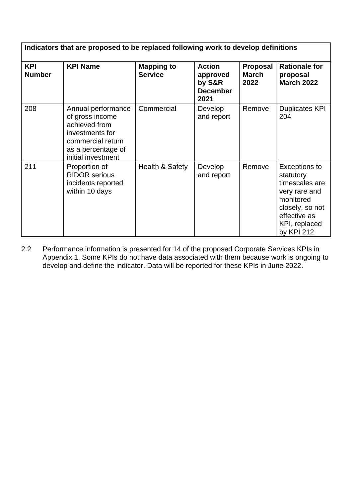| Indicators that are proposed to be replaced following work to develop definitions |                                                                                                                                            |                                     |                                                                |                                         |                                                                                                                                              |
|-----------------------------------------------------------------------------------|--------------------------------------------------------------------------------------------------------------------------------------------|-------------------------------------|----------------------------------------------------------------|-----------------------------------------|----------------------------------------------------------------------------------------------------------------------------------------------|
| <b>KPI</b><br><b>Number</b>                                                       | <b>KPI Name</b>                                                                                                                            | <b>Mapping to</b><br><b>Service</b> | <b>Action</b><br>approved<br>by S&R<br><b>December</b><br>2021 | <b>Proposal</b><br><b>March</b><br>2022 | <b>Rationale for</b><br>proposal<br><b>March 2022</b>                                                                                        |
| 208                                                                               | Annual performance<br>of gross income<br>achieved from<br>investments for<br>commercial return<br>as a percentage of<br>initial investment | Commercial                          | Develop<br>and report                                          | Remove                                  | <b>Duplicates KPI</b><br>204                                                                                                                 |
| 211                                                                               | Proportion of<br><b>RIDOR serious</b><br>incidents reported<br>within 10 days                                                              | Health & Safety                     | Develop<br>and report                                          | Remove                                  | Exceptions to<br>statutory<br>timescales are<br>very rare and<br>monitored<br>closely, so not<br>effective as<br>KPI, replaced<br>by KPI 212 |

2.2 Performance information is presented for 14 of the proposed Corporate Services KPIs in Appendix 1. Some KPIs do not have data associated with them because work is ongoing to develop and define the indicator. Data will be reported for these KPIs in June 2022.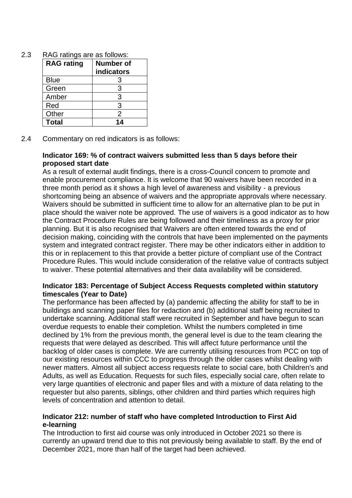| RAG ratings are as follows: |
|-----------------------------|
|                             |

| <b>RAG</b> rating | <b>Number of</b><br>indicators |
|-------------------|--------------------------------|
| <b>Blue</b>       | З                              |
| Green             | 3                              |
| Amber             | 3                              |
| Red               | 3                              |
| Other             | 2                              |
| <b>Total</b>      | $14$                           |

2.4 Commentary on red indicators is as follows:

#### **Indicator 169: % of contract waivers submitted less than 5 days before their proposed start date**

As a result of external audit findings, there is a cross-Council concern to promote and enable procurement compliance. It is welcome that 90 waivers have been recorded in a three month period as it shows a high level of awareness and visibility - a previous shortcoming being an absence of waivers and the appropriate approvals where necessary. Waivers should be submitted in sufficient time to allow for an alternative plan to be put in place should the waiver note be approved. The use of waivers is a good indicator as to how the Contract Procedure Rules are being followed and their timeliness as a proxy for prior planning. But it is also recognised that Waivers are often entered towards the end of decision making, coinciding with the controls that have been implemented on the payments system and integrated contract register. There may be other indicators either in addition to this or in replacement to this that provide a better picture of compliant use of the Contract Procedure Rules. This would include consideration of the relative value of contracts subject to waiver. These potential alternatives and their data availability will be considered.

#### **Indicator 183: Percentage of Subject Access Requests completed within statutory timescales (Year to Date)**

The performance has been affected by (a) pandemic affecting the ability for staff to be in buildings and scanning paper files for redaction and (b) additional staff being recruited to undertake scanning. Additional staff were recruited in September and have begun to scan overdue requests to enable their completion. Whilst the numbers completed in time declined by 1% from the previous month, the general level is due to the team clearing the requests that were delayed as described. This will affect future performance until the backlog of older cases is complete. We are currently utilising resources from PCC on top of our existing resources within CCC to progress through the older cases whilst dealing with newer matters. Almost all subject access requests relate to social care, both Children's and Adults, as well as Education. Requests for such files, especially social care, often relate to very large quantities of electronic and paper files and with a mixture of data relating to the requester but also parents, siblings, other children and third parties which requires high levels of concentration and attention to detail.

#### **Indicator 212: number of staff who have completed Introduction to First Aid e-learning**

The Introduction to first aid course was only introduced in October 2021 so there is currently an upward trend due to this not previously being available to staff. By the end of December 2021, more than half of the target had been achieved.